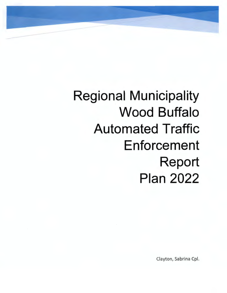Regional Municipality Wood Buffalo Automated Traffic Enforcement Report Plan 2022

Clayton, Sabrina Cpl.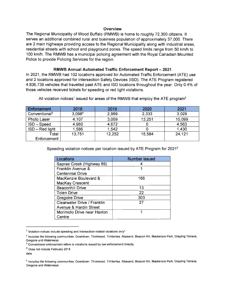#### **Overview**

The Regional Municipality of Wood Buffalo (RMWB) is home to roughly 72,300 citizens. It serves an additional combined rural and business population of-approximately 37,000. There are 2 main highways providing access to the Regional Municipality along with industrial areas, residential streets with school and playground zones. The speed limits range from 50 km/h to 100 km/h. The RMWB has a municipal policing agreement with the Royal Canadian Mounted Police to provide Policing Services for the region.

#### **RMWB Annual Automated Traffic Enforcement Report- 2021**

In 2021, the RMWB had 102 locations approved for Automated Traffic Enforcement (ATE) use and 2 locations approved for Intersection Safety Devices (ISO). The ATE Program registered 4,836,739 vehicles that travelled past ATE and ISO locations throughout the year. Only 0.4% of those vehicles received tickets for speeding or red light violations.

| Enforcement               | 2018   | 2019   | 2020   | 2021   |
|---------------------------|--------|--------|--------|--------|
| Conventional <sup>3</sup> | 3,0984 | 2,969  | 2,333  | 3,029  |
| <b>Photo Laser</b>        | 4,107  | 3,069  | 13,251 | 15,099 |
| <b>ISD – Speed</b>        | 4,960  | 4,672  |        | 4,563  |
| ISD - Red light           | 1,586  | 1,542  |        | 1,430  |
| Total                     | 13,751 | 12,252 | 15,584 | 24,121 |
| Enforcement               |        |        |        |        |

All violation notices<sup>1</sup> issued for areas of the RMWB that employ the ATE program<sup>2</sup>

Speeding violation notices per location issued by ATE Program for 2021<sup>5</sup>

| Locations                          | <b>Number issued</b> |
|------------------------------------|----------------------|
| Saprae Creek (Highway 69)          |                      |
| Franklin Avenue &                  |                      |
| <b>Centennial Drive</b>            |                      |
| MacKenzie Boulevard &              | 166                  |
| <b>MacKay Crescent</b>             |                      |
| <b>Beaconhill Drive</b>            | 13                   |
| <b>Tolen Drive</b>                 | 22                   |
| <b>Gregoire Drive</b>              | 303                  |
| <b>Clearwater Drive / Franklin</b> | 27                   |
| <b>Avenue &amp; Hardin Street</b>  |                      |
| Morimoto Drive near Haxton         |                      |
| Centre                             |                      |

 $1$  Violation notices include speeding and intersection-related violations only\*

<sup>2</sup> Includes the following communities: Downtown, Thickwood, Timberlea, Abasand, Beacon Hill, Mackenzie Park, Grayling Terrace, Gregoire and Waterways.<br><sup>3</sup> Conventional enforcement refers to violations issued by law enforcement directly.

<sup>4</sup> Does not include February 2018

data.

<sup>5</sup> Includes the following communities: Downtown, Thickwood , Timberlea, Abasand, Beacon Hill, Mackenzie Park, Grayling Terrace, Gregoire and Waterways.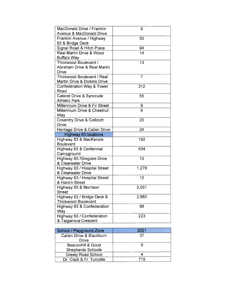| <b>MacDonald Drive / Franklin</b>        | 6              |  |
|------------------------------------------|----------------|--|
| <b>Avenue &amp; MacDonald Drive</b>      |                |  |
| Franklin Avenue / Highway                | 50             |  |
| 63 & Bridge Deck                         |                |  |
| Signal Road & Hitch Place                | 94             |  |
| <b>Real Martin Drive &amp; Wood</b>      | 14             |  |
| <b>Buffalo Way</b>                       |                |  |
| Thickwood Boulevard /                    | 13             |  |
| <b>Abraham Drive &amp; Real Martin</b>   |                |  |
| <b>Drive</b>                             |                |  |
| <b>Thickwood Boulevard / Real</b>        | $\overline{7}$ |  |
| <b>Martin Drive &amp; Dickins Drive</b>  |                |  |
| <b>Confederation Way &amp; Tower</b>     | 312            |  |
| Road                                     |                |  |
| <b>Cateret Drive &amp; Syncrude</b>      | 55             |  |
| <b>Athletic Park</b>                     |                |  |
| <b>Millennium Drive &amp; Fir Street</b> | 9              |  |
| <b>Millennium Drive &amp; Chestnut</b>   | 6              |  |
| Way                                      |                |  |
| <b>Coventry Drive &amp; Collicott</b>    | 20             |  |
| <b>Drive</b>                             |                |  |
| Heritage Drive & Callen Drive            |                |  |
| <b>Highway 63 locations</b>              |                |  |
| Highway 63 & MacKenzie                   | 192            |  |
| <b>Boulevard</b>                         |                |  |
| Highway 63 & Centennial                  | 504            |  |
| Campground                               |                |  |
| Highway 63 / Gregoire Drive              |                |  |
| & Clearwater Drive                       |                |  |
| Highway 63 / Hospital Street             | 1,278          |  |
| & Clearwater Drive                       |                |  |
| Highway 63 / Hospital Street             | 12             |  |
| & Hardin Street                          |                |  |
| Highway 63 & Morrison                    | 5,051          |  |
| <b>Street</b>                            |                |  |
| Highway 63 / Bridge Deck &               | 2,880          |  |
| <b>Thickwood Boulevard</b>               |                |  |
| Highway 63 & Confederation               | 96             |  |
| Way                                      |                |  |
| Highway 63 / Confederation               | 223            |  |
| & Taiganova Crescent                     |                |  |
|                                          | 24<br>10       |  |

| <b>School / Playground Zone</b>   | 2021 |  |
|-----------------------------------|------|--|
| Callen Drive & Blackburn<br>Drive | 37   |  |
| <b>Beaconhill &amp; Good</b>      |      |  |
| <b>Shepherds Schools</b>          |      |  |
| <b>Greely Road School</b>         |      |  |
| Dr. Clark & Fr. Turcotte          | 715  |  |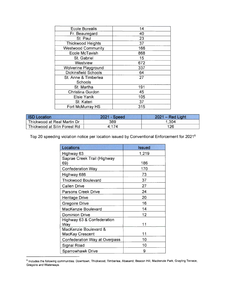| <b>Ecole Borealis</b>       | 14  |
|-----------------------------|-----|
| Fr. Beauregard              | 40  |
| St. Paul                    | 23  |
| <b>Thickwood Heights</b>    | 37  |
| <b>Westwood Community</b>   | 166 |
| <b>Ecole McTavish</b>       | 868 |
| St. Gabriel                 | 15  |
| <b>Westview</b>             | 672 |
| <b>Wolverine Playground</b> | 337 |
| <b>Dickinsfield Schools</b> | 64  |
| St. Anne & Timberlea        | 27  |
| <b>Schools</b>              |     |
| St. Martha                  | 191 |
| Christina Gordon            | 45  |
| <b>Elsie Yanik</b>          | 105 |
| St. Kateri                  | 37  |
| Fort McMurray HS            | 315 |

| <b>ISD Location</b>          | 2021 - Speed | $2021 - Red Light$ |
|------------------------------|--------------|--------------------|
| Thickwood at Real Martin Dr  | 389          | 1,304              |
| Thickwood at Silin Forest Rd | 4.174        | 126                |

Top 20 speeding violation notice per location issued by Conventional Enforcement for 2021<sup>6</sup>

| Locations                            | <b>Issued</b> |
|--------------------------------------|---------------|
| Highway 63                           | 1,219         |
| <b>Saprae Creek Trail (Highway</b>   |               |
| 69)                                  | 186           |
| <b>Confederation Way</b>             | 170           |
| Highway 686                          | 73            |
| <b>Thickwood Boulevard</b>           | 37            |
| <b>Callen Drive</b>                  | 27            |
| <b>Parsons Creek Drive</b>           | 24            |
| <b>Heritage Drive</b>                | 20            |
| <b>Gregoire Drive</b>                | 16            |
| <b>MacKenzie Boulevard</b>           | 14            |
| <b>Dominion Drive</b>                | 12            |
| Highway 63 & Confederation           |               |
| Way                                  | 11            |
| MacKenzie Boulevard &                |               |
| <b>MacKay Crescent</b>               | 11            |
| <b>Confederation Way at Overpass</b> | 10            |
| <b>Signal Road</b>                   | 10            |
| <b>Sparrowhawk Drive</b>             | 9             |

<sup>&</sup>lt;sup>6</sup> Includes the following communities: Downtown, Thickwood, Timberlea, Abasand, Beacon Hill, Mackenzie Park, Grayling Terrace, Gregoire and Waterways.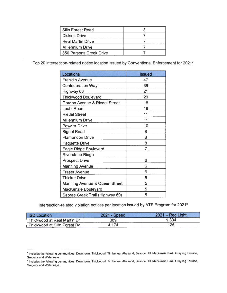| Silin Forest Road        |  |
|--------------------------|--|
| <b>Dickins Drive</b>     |  |
| <b>Real Martin Drive</b> |  |
| <b>Millennium Drive</b>  |  |
| 350 Parsons Creek Drive  |  |

Top 20 intersection-related notice location issued by Conventional Enforcement for 2021<sup>7</sup>

| Locations                                | <b>Issued</b> |  |
|------------------------------------------|---------------|--|
| <b>Franklin Avenue</b>                   | 47            |  |
| <b>Confederation Way</b>                 | 36            |  |
| Highway 63                               | 21            |  |
| <b>Thickwood Boulevard</b>               | 20            |  |
| <b>Gordon Avenue &amp; Riedel Street</b> | 16            |  |
| <b>Loutit Road</b>                       | 16            |  |
| <b>Riedel Street</b>                     | 11            |  |
| <b>Millennium Drive</b>                  | 11            |  |
| <b>Powder Drive</b>                      | 10            |  |
| <b>Signal Road</b>                       | 8             |  |
| <b>Plamondon Drive</b>                   | 8             |  |
| <b>Paquette Drive</b>                    | 8             |  |
| Eagle Ridge Boulevard                    | 7             |  |
| <b>Riverstone Ridge</b>                  |               |  |
| <b>Prospect Drive</b>                    | 6             |  |
| <b>Manning Avenue</b>                    | 6             |  |
| <b>Fraser Avenue</b>                     | 6             |  |
| <b>Thicket Drive</b>                     | 6             |  |
| <b>Manning Avenue &amp; Queen Street</b> | 5             |  |
| <b>MacKenzie Boulevard</b>               | 5             |  |
| Saprae Creek Trail (Highway 69)          | 5             |  |

Intersection-related violation notices per location issued by ATE Program for 2021<sup>8</sup>

| <b>ISD Location</b>          | $2021 - Speed$ | $2021 - Red Light$ |
|------------------------------|----------------|--------------------|
| Thickwood at Real Martin Dr  | 389            | 1.304              |
| Thickwood at Silin Forest Rd | . 174          | 126                |

<sup>&</sup>lt;sup>7</sup> Includes the following communities: Downtown, Thickwood, Timberlea, Abasand, Beacon Hill, Mackenzie Park, Grayling Terrace, Gregoire and Waterways.<br><sup>8</sup> Includes the following communities: Downtown, Thickwood, Timberlea, Abasand, Beacon Hill, Mackenzie Park, Grayling Terrace,

Gregoire and Waterways.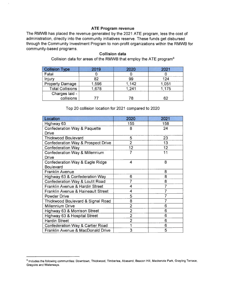### **ATE Program revenue**

The RMWB has placed the revenue generated by the 2021 ATE program, less the cost of administration, directly into the community initiatives reserve. These funds get disbursed through the Community Investment Program to non-profit organizations within the RMWB for community-based programs.

#### **Collision data**

Collision data for areas of the RMWB that employ the ATE program9

| <b>Collision Type</b>   | 2019  | 2020  | 2021  |
|-------------------------|-------|-------|-------|
| Fatal                   |       |       |       |
| Injury                  | 82    | 99    | 124   |
| <b>Property Damage</b>  | 1,596 | 1,142 | 1,051 |
| <b>Total Collisions</b> | 1,678 | 1,241 | 1,175 |
| Charges laid -          |       |       |       |
| collisions              |       | 78    | 62    |

#### Top 20 collision location for 2021 compared to 2020

| Location                                      | 2020           | 2021 |
|-----------------------------------------------|----------------|------|
| Highway 63                                    | 155            | 158  |
| <b>Confederation Way &amp; Paquette</b>       | 8              | 24   |
| <b>Drive</b>                                  |                |      |
| <b>Thickwood Boulevard</b>                    | 5              | 23   |
| <b>Confederation Way &amp; Prospect Drive</b> | $\overline{2}$ | 13   |
| <b>Confederation Way</b>                      | 12             | 12   |
| <b>Confederation Way &amp; Millennium</b>     | 7              | 11   |
| <b>Drive</b>                                  |                |      |
| <b>Confederation Way &amp; Eagle Ridge</b>    | 4              | 8    |
| <b>Boulevard</b>                              |                |      |
| <b>Franklin Avenue</b>                        |                | 8    |
| <b>Highway 63 &amp; Confederation Way</b>     | 6              | 8    |
| <b>Confederation Way &amp; Loutit Road</b>    | 7              | 8    |
| <b>Franklin Avenue &amp; Hardin Street</b>    | 4              |      |
| <b>Franklin Avenue &amp; Haineault Street</b> | 4              |      |
| <b>Powder Drive</b>                           | 5              |      |
| Thickwood Boulevard & Signal Road             | 8              |      |
| <b>Millennium Drive</b>                       | $\overline{2}$ | 6    |
| Highway 63 & Morrison Street                  | $\overline{2}$ | 6    |
| Highway 63 & Hospital Street                  | $\overline{2}$ | 6    |
| <b>Hardin Street</b>                          | $\overline{2}$ | 6    |
| <b>Confederation Way &amp; Cartier Road</b>   |                | 6    |
| <b>Franklin Avenue &amp; MacDonald Drive</b>  | 3              | 5    |

<sup>9</sup> Includes the following communities: Downtown, Thickwood, Timberlea, Abasand, Beacon Hill, Mackenzie Park, Grayling Terrace, Gregoire and Waterways.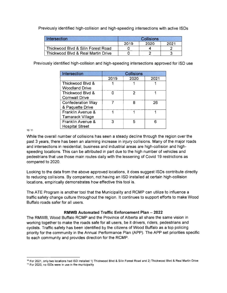Previously identified high-collision and high-speeding intersections with active ISDs

| Intersection                                  | <b>Collisions</b> |      |      |
|-----------------------------------------------|-------------------|------|------|
|                                               | 2019              | 2020 | 2021 |
| Thickwood Blvd & Silin Forest Road            |                   |      |      |
| <b>Thickwood Blvd &amp; Real Martin Drive</b> |                   |      |      |

Previously identified high-collision and high-speeding intersections approved for ISO use

| Intersection                                         | <b>Collisions</b> |      |      |  |
|------------------------------------------------------|-------------------|------|------|--|
|                                                      | 2019              | 2020 | 2021 |  |
| <b>Thickwood Blvd &amp;</b><br><b>Woodland Drive</b> |                   |      |      |  |
| Thickwood Blvd &<br><b>Cornwall Drive</b>            |                   | 2    |      |  |
| <b>Confederation Way</b><br>& Paquette Drive         |                   | 8    | 26   |  |
| Franklin Avenue &<br><b>Tamarack Village</b>         |                   |      |      |  |
| Franklin Avenue &<br><b>Hospital Street</b>          | З                 | 5    |      |  |

10 11

While the overall number of collisions has seen a steady decline through the region over the past 3 years, there has been an alarming increase in injury collisions. Many of the major roads and intersections in residential, business and industrial areas are high-collision and highspeeding locations. This can be attributed in part due to the high number of vehicles and pedestrians that use those main routes daily with the lessening of Covid 19 restrictions as compared to 2020.

Looking to the data from the above approved locations, it does suggest ISDs contribute directly to reducing collisions. By comparison, not having an ISO installed at certain high-collision locations, empirically demonstrates how effective this tool is.

The ATE Program is another tool that the Municipality and RCMP can utilize to influence a traffic safety change culture throughout the region . It continues to support efforts to make Wood Buffalo roads safer for all users.

### **RMWB Automated Traffic Enforcement Plan - 2022**

The RMWB, Wood Buffalo RCMP and the Province of Alberta all share the same vision in working together to make the roads safe for all users, be it drivers, riders, pedestrians and cyclists. Traffic safety has been identified by the citizens of Wood Buffalo as a top policing priority for the community in the Annual Performance Plan (APP). The APP set priorities specific to each community and provides direction for the RCMP.

<sup>&</sup>lt;sup>10</sup> For 2021, only two locations had ISD installed 1) Thickwood Blvd & Silin Forest Road and 2) Thickwood Blvd & Real Martin Drive

<sup>&</sup>lt;sup>11</sup> For 2020, no ISDs were in use in the municipality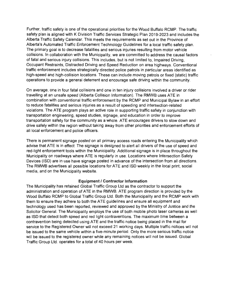Further, traffic safety is one of the operational priorities for the Wood Buffalo RCMP. The traffic safety plan is aligned with K Division Traffic Services Strategic Plan 2019-2023 and includes the Alberta Traffic Safety Calendar. This meets the requirements as set out in the Province of Alberta's Automated Traffic Enforcement Technology Guidelines for a local traffic safety plan. The primary goal is to decrease fatalities and serious injuries resulting from motor vehicle collisions. In collaboration with the Municipality, we are committed to address the causal factors of fatal and serious injury collisions. This includes, but is not limited to, Impaired Driving, Occupant Restraints, Distracted Driving and Speed Reduction on area highways. Conventional traffic enforcement includes strategically directed police patrols in particular areas identified as high-speed and high-collision locations. These can include moving patrols or fixed (static) traffic operations to provide a general deterrent and encourage safe driving within the community.

On average, one in four fatal collisions and one in ten injury collisions involved a driver or rider travelling at an unsafe speed (Alberta Collision Information). The RMWB uses ATE in combination with conventional traffic enforcement by the RCMP and Municipal Bylaw in an effort to reduce fatalities and serious injuries as a result of speeding and intersection-related violations. The ATE program plays an active role in supporting traffic safety in conjunction with transportation engineering, speed studies, signage, and education in order to improve transportation safety for the community as a whole. ATE encourages drivers to slow down and drive safely within the region without taking away from other priorities and enforcement efforts of all local enforcement and police officers.

There is permanent signage posted on all primary access roads entering the Municipality which advise that ATE is in effect. The signage is designed to alert all drivers of the use of speed and red-light enforcement tools within the Municipality. Additional signage is in place throughout the Municipality on roadways where ATE is regularly in use. Locations where Intersection Safety Devices (ISO) are in use have signage posted in advance of the intersection from all directions. The RMWB advertises all possible locations for ATE and ISO weekly in the local print, social media, and on the Municipality website.

#### **Equipment/ Contractor Information**

The Municipality has retained Global Traffic Group Ltd as the contractor to support the administration and operation of ATE in the RMWB. ATE program direction is provided by the Wood Buffalo RCMP to Global Traffic Group Ltd. Both the Municipality and the RCMP work with them to ensure they adhere to both the ATE guidelines and ensure all equipment and technology used has been reported, reviewed and approved by the Ministry of Justice and the Solicitor General. The Municipality employs the use of both mobile photo laser cameras as well as ISO that detect both speed and red light contraventions. The maximum time between a contravention being detected using ATE and the traffic notice being placed in the mail for service to the Registered Owner will not exceed 21 working days. Multiple traffic notices will not be issued to the same vehicle within a five-minute period. Only the more serious traffic notice will be issued to the registered owner while any remaining notices will not be issued. Global Traffic Group Ltd. operates for a total of 40 hours per week.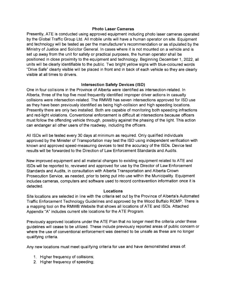### **Photo Laser Cameras**

Presently, ATE is conducted using approved equipment including photo laser cameras operated by the Global Traffic Group Ltd. All mobile units will have a human operator on site. Equipment and technology will be tested as per the manufacturer's recommendation or as stipulated by the Ministry of Justice and Solicitor General. In cases where it is not mounted on a vehicle and is set up away from the unit for safety or practical purposes, the human operator shall be positioned in close proximity to the equipment and technology. Beginning December 1, 2022, all units will be clearly identifiable to the public. Two bright yellow signs with blue-coloured words "Drive Safe" clearly visible will be placed in front and in back of each vehicle so they are clearly visible at all times to drivers.

## **Intersection Safety Devices (15D)**

One in four collisions in the Province of Alberta were identified as intersection-related. In Alberta, three of the top five most frequently identified improper driver actions in casualty collisions were intersection-related. The RMWB has seven intersections approved for ISO use as they have been previously identified as being high-collision and high speeding locations. Presently there are only two installed. Both are capable of monitoring both speeding infractions and red-light violations. Conventional enforcement is difficult at intersections because officers must follow the offending vehicle through, possibly against the phasing of the light. This action can endanger all other users of the roadway, including the officers.

All ISDs will be tested every 30 days at minimum as required. Only qualified individuals approved by the Minister of Transportation may test the ISO using independent verification with known and approved speed-measuring devices to test the accuracy of the ISDs. Device test results will be forwarded to the Direction of Law Enforcement Standards and Audits.

New improved equipment and all material changes to existing equipment related to ATE and ISDs will be reported to, reviewed and approved for use by the Director of Law Enforcement Standards and Audits, in consultation with Alberta Transportation and Alberta Crown Prosecution Service, as needed, prior to being put into use within the Municipality. Equipment includes cameras, computers and software used to record contravention information once it is detected.

### **Locations**

Site locations are selected in line with the criteria set out by the Province of Alberta's Automated Traffic Enforcement Technology Guidelines and approved by the Wood Buffalo RCMP. There is a mapping tool on the RMWB Website that shows all locations of ATE and ISDs. Attached Appendix "A" includes current site locations for the ATE Program.

Previously approved locations under the ATE Plan that no longer meet the criteria under these guidelines will cease to be utilized. These include previously reported areas of public concern or where the use of conventional enforcement was deemed to be unsafe as these are no longer qualifying criteria.

Any new locations must meet qualifying criteria for use and have demonstrated areas of:

- 1. Higher frequency of collisions;
- 2. Higher frequency of speeding;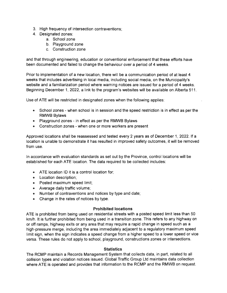- 3. High frequency of intersection contraventions;
- 4. Designated zones:
	- a. School zone
	- b. Playground zone
	- c. Construction zone

and that through engineering, education or conventional enforcement that these efforts have been documented and failed to change the behaviour over a period of 4 weeks.

Prior to implementation of a new location, there will be a communication period of at least 4 weeks that includes advertising in local media, including social media, on the Municipality's website and a familiarization period where warning notices are issued for a period of 4 weeks. Beginning December 1, 2022, a link to the program's websites will be available on Alberta 511 .

Use of ATE will be restricted in designated zones when the following applies:

- School zones when school is in session and the speed restriction is in effect as per the **RMWB** Bylaws
- Playground zones in effect as per the RMWB Bylaws
- Construction zones when one or more workers are present

Approved locations shall be reassessed and tested every 2 years as of December 1, 2022. If a location is unable to demonstrate it has resulted in improved safety outcomes, it will be removed from use.

In accordance with evaluation standards as set out by the Province, control locations will be established for each ATE location. The data required to be collected includes:

- ATE location ID it is a control location for;
- Location description;
- Posted maximum speed limit;
- Average daily traffic volume;
- Number of contraventions and notices by type and date;
- Change in the rates of notices by type.

### **Prohibited locations**

A TE is prohibited from being used on residential streets with a posted speed limit less than 50 km/h. It is further prohibited from being used in a transition zone. This refers to any highway on or off ramps, highway exits or any area that may require a rapid change in speed such as a high-pressure merge, including the area immediately adjacent to a regulatory maximum speed limit sign, when the sign indicates a speed change from a higher speed to a lower speed or vice versa. These rules do not apply to school, playground, constructions zones or intersections.

#### **Statistics**

The RCMP maintain a Records Management System that collects data, in part, related to all collision types and violation notices issued. Global Traffic Group Ltd maintains data collection where ATE is operated and provides that information to the RCMP and the RMWB on request.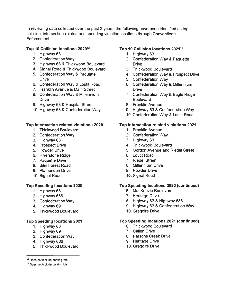In reviewing data collected over the past 2 years, the following have been identified as top collision, intersection-related and speeding violation locations through Conventional Enforcement.

## **Top 10 Collision locations 202012**

- 1. Highway 63
- 2. Confederation Way
- 3. Highway 63 & Thickwood Boulevard
- 4. Signal Road & Thickwood Boulevard
- 5. Confederation Way & Paquette **Drive**
- 6. Confederation Way & Loutit Road
- 7. Franklin Avenue & Main Street
- 8. Confederation Way & Millennium **Drive**
- 9. Highway 63 & Hospital Street
- 10. Highway 63 & Confederation Way

## **Top Intersection-related violations 2020**

- 1. Thickwood Boulevard
- 2. Confederation Way
- 3. Highway 63
- **4.** Prospect Drive
- 5. Powder Drive
- 6. Riverstone Ridge
- 7. Paquette Drive
- 8. Silin Forest Road
- 9. Plamondon Drive
- 10. Signal Road

## **Top Speeding locations 2020**

- 1. Highway 63
- 2. Highway 686
- 3. Confederation Way
- 4. Highway 69
- 5. Thickwood Boulevard

## **Top Speeding locations 2021**

- 1. Highway 63
- 2. Highway 69
- 3. Confederation Way
- **4.** Highway 686
- 5. Thickwood Boulevard

#### 12 Does not include parking lots

#### <sup>13</sup> Does not include parking lots

## Top 10 Collision locations 2021<sup>13</sup>

- 1. Highway 63
- 2. Confederation Way & Paquette **Drive**
- 3. Thickwood Boulevard
- 4. Confederation Way & Prospect Drive
- 5. Confederation Way
- 6. Confederation Way & Millennium **Drive**
- 7. Confederation Way & Eagle Ridge **Boulevard**
- 8. Franklin Avenue
- 9. Highway 63 & Confederation Way
- 10. Confederation Way & Loutit Road

## **Top Intersection-related violations 2021**

- 1. Franklin Avenue
- 2. Confederation Way
- 3. Highway 63
- 4. Thickwood Boulevard
- 5. Gordon Avenue and Riedel Street
- 6. Loutit Road
- 7. Riedel Street
- 8. Millennium Drive
- 9. Powder Drive
- **10.** Signal Road

### **Top Speeding locations 2020 (continued)**

- 6. MacKenzie Boulevard
- 7. Heritage Drive
- 8. Highway 63 & Highway 686
- 9. Highway 63 & Confederation Way
- 10. Gregoire Drive

### **Top Speeding locations 2021 (continued)**

- 6. Thickwood Boulevard
- 7. Callen Drive
- 8. Parsons Creek Drive
- 9. Heritage Drive
- 10. Gregoire Drive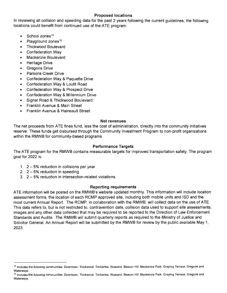## **Proposed locations**

In reviewing all collision and speeding data for the past 2 years following the current guidelines, the following locations could benefit from continued use of the ATE program:

- School zones<sup>14</sup>
- Playground zones<sup>15</sup>
- Thickwood Boulevard
- Confederation Way
- Mackenzie Boulevard
- Heritage Drive
- Gregoire Drive
- Parsons Creek Drive
- Confederation Way & Paquette Drive
- Confederation Way & Loutit Road
- Confederation Way & Prospect Drive
- Confederation Way & Millennium Drive
- Signal Road & Thickwood Boulevard
- Franklin Avenue & Main Street
- Franklin Avenue & Haineault Street

## **Net revenues**

The net proceeds from ATE fines fund, less the cost of administration, directly into the community initiatives reserve. These funds get disbursed through the Community Investment Program to non-profit organizations within the RMWB for community-based programs.

## **Performance Targets**

The ATE program for the RMWB contains measurable targets for improved transportation safety. The program goal for 2022 is:

- 1.  $2 5%$  reduction in collisions per year
- 2.  $2 5%$  reduction in speeding
- 3. 2 5% reduction in intersection-related violations

## **Reporting requirements**

ATE information will be posted on the RMWB's website updated monthly. This information will include location assessment forms, the location of each RCMP approved site, including both mobile units and ISO and the most current Annual Report. The RCMP, in collaboration with the RMWB, will collect data on the use of ATE. This data refers to, but is not restricted to, contravention date, collision data used to support site assessments, images and any other data collected that may be required to be reported to the Direction of Law Enforcement Standards and Audits. The RMWB will submit quarterly reports as required to the Ministry of Justice and Solicitor General. An Annual Report will be submitted by the RMWB for review by the public available May 1, 2023.

<sup>&</sup>lt;sup>14</sup> Includes the following communities: Downtown, Thickwood, Timberlea, Abasand, Beacon Hill, Mackenzie Park, Grayling Terrace, Gregoire and Waterways.

<sup>&</sup>lt;sup>15</sup> Includes the following communities: Downtown, Thickwood, Timberlea, Abasand, Beacon Hill, Mackenzie Park, Grayling Terrace, Gregoire and Waterways.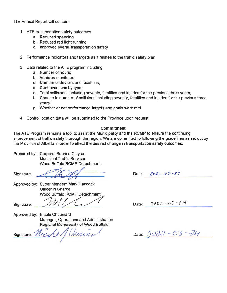The Annual Report will contain:

- 1. ATE transportation safety outcomes:
	- a. Reduced speeding
	- b. Reduced red light running
	- c. Improved overall transportation safety
- 2. Performance indicators and targets as it relates to the traffic safety plan
- 3. Data related to the ATE program including:
	- a. Number of hours;
	- b. Vehicles monitored;
	- c. Number of devices and locations;
	- d. Contraventions by type;
	- e. Total collisions, including severity, fatalities and injuries for the previous three years;
	- f. Change in number of collisions including severity, fatalities and injuries for the previous three years;
	- g. Whether or not performance targets and goals were met.
- 4. Control location data will be submitted to the Province upon request.

### **Commitment**

The ATE Program remains a tool to assist the Municipality and the RCMP to ensure the continuing improvement of traffic safety thorough the region. We are committed to following the guidelines as set out by the Province of Alberta in order to effect the desired change in transportation safety outcomes.

Prepared by: Corporal Sabrina Clayton Municipal Traffic Services of Alberta in order to effect the desired change in trans<br>
Corporal Sabrina Clayton<br>
Municipal Traffic Services<br>
Wood Buffalo RCMP Detachment<br>
Superintendent Mark Hancock<br>
Officer in Charge Wood Buffalo RCMP Detachment

Signature:

Approved by: Superintendent Mark Hancock Officer in Charge Wood Buffalo RCMP Detachment

Signature:

Experimendent Mark Hancock<br>Difficer in Charge<br>Vood Buffalo RCMP Detachment Approved by: Nicole Chouinard Approved by: Nicole Chouinard<br>
Manager, Operations and Administration<br>
Regional Municipality of Wood Buffalo<br>
Signature:  $\frac{\partial \ell}{\partial x}$  of *Merinie* 

Manager, Operations and Administration Regional Municipality of Wood Buffalo

 $7022 - 03 - 24$ Date:

Date:  $2022 - 03 - 24$ 

Date:  $7077 - 03 - 24$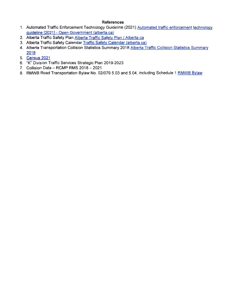### **References**

- 1. Automated Traffic Enforcement Technology Guideline (2021) Automated traffic enforcement technology guideline (2021) - Open Government (alberta.ca)
- 2. Alberta Traffic Safety Plan Alberta Traffic Safety Plan | Alberta.ca
- 3. Alberta Traffic Safety Calendar Traffic Safety Calendar (alberta.ca)
- 4. Alberta Transportation Collision Statistics Summary 2018 Alberta Traffic Collision Statistics Summary 2018
- 5. Census 2021
- 6. "K" Division Traffic Services Strategic Plan 2019-2023
- 7. Collision Data RCMP RMS 2018 2021
- 8. RMWB Road Transportation Bylaw No. 02/079 5.03 and 5.04, including Schedule 1 RMWB Bylaw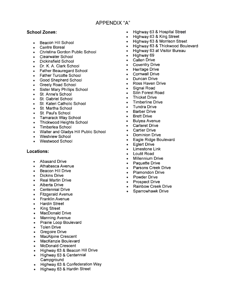# **APPENDIX "A"**

## **School Zones:**

- Beacon Hill School
- Centre Boreal
- Christina Gordon Public School
- Clearwater School
- Dickinsfield School
- Dr. **K. A.** Clark School
- Father Beauregard School
- Father Turcotte School
- Good Shepherd School
- Greely Road School
- Sister Mary Phillips School
- St. Anne's School
- St. Gabriel School
- St. Kateri Catholic School
- St. Martha School
- St. Paul's School
- Tamarack Way School
- Thickwood Heights School
- Timberlea School
- Walter and Gladys Hill Public School
- Westview School
- Westwood School

### **Locations:**

- Abasand Drive
- Athabasca Avenue
- Beacon Hill Drive
- Dickins Drive
- Real Martin Drive
- Alberta Drive
- Centennial Drive
- Fitzgerald Avenue
- Franklin Avenue
- Hardin Street
- King Street
- MacDonald Drive
- Manning Avenue
- Prairie Loop Boulevard
- Tolen Drive
- Gregoire Drive
- MacAlpine Crescent
- MacKenzie Boulevard
- McDonald Crescent
- Highway 63 & Beacon Hill Drive
- Highway 63 & Centennial **Campground**
- Highway 63 & Confederation Way
- Highway 63 & Hardin Street
- Highway 63 & Hospital Street
- Highway 63 & King Street
- Highway 63 & Morrison Street
- Highway 63 & Thickwood Boulevard
- Highway 63 at Visitor Bureau
- Highway 69
- Callen Drive
- Coventry Drive
- Heritage Drive
- Cornwall Drive
- Duncan Drive
- Ross Haven Drive
- Signal Road
- Silin Forest Road
- Thicket Drive
- Timberline Drive
- Tundra Drive
- **Barber Drive**
- Brett Drive
- Bulyea Avenue
- Carteret Drive
- Cartier Drive
- Dominion Drive
- Eagle Ridge Boulevard
- Eglert Drive
- Limestone Link
- Loutit Road
- **Millennium Drive**
- Paquette Drive
- Parsons Creek Drive
- Plamondon Drive<br>• Powder Drive
- Powder Drive
- Prospect Drive
- Rainbow Creek Drive
- Sparrowhawk Drive